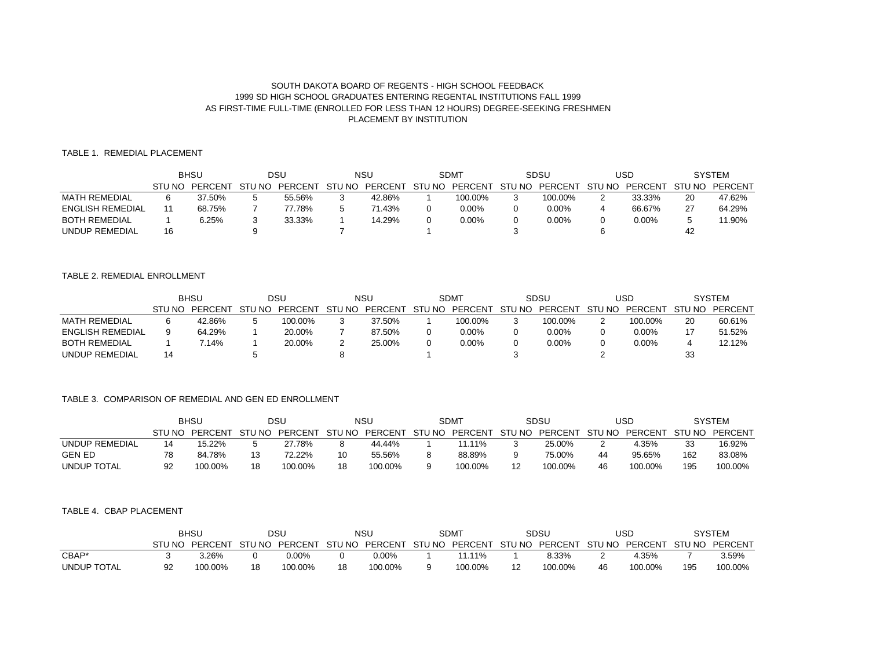# SOUTH DAKOTA BOARD OF REGENTS - HIGH SCHOOL FEEDBACK 1999 SD HIGH SCHOOL GRADUATES ENTERING REGENTAL INSTITUTIONS FALL 1999 AS FIRST-TIME FULL-TIME (ENROLLED FOR LESS THAN 12 HOURS) DEGREE-SEEKING FRESHMEN PLACEMENT BY INSTITUTION

## TABLE 1. REMEDIAL PLACEMENT

|                         | <b>BHSU</b> |         | DSU           |         | NSU    |         | <b>SDMT</b> |          | SDSU   |          | USD    |          | SYSTEM      |         |
|-------------------------|-------------|---------|---------------|---------|--------|---------|-------------|----------|--------|----------|--------|----------|-------------|---------|
|                         | STU NO      | PERCENT | - ST'<br>U NO | PERCENT | STU NO | PERCENT | STU NO      | PERCENT  | STU NO | PERCENT  | STU NO | PFRCFNT  | -ST<br>J NO | PERCENT |
| MATH REMEDIAL           |             | 37.50%  |               | 55.56%  |        | 42.86%  |             | 100.00%  |        | 100.00%  |        | 33.33%   | 20          | 47.62%  |
| <b>ENGLISH REMEDIAL</b> |             | 68.75%  |               | 77.78%  |        | 71.43%  |             | 0.00%    |        | $0.00\%$ |        | 66.67%   | -27         | 64.29%  |
| <b>BOTH REMEDIAL</b>    |             | 6.25%   |               | 33.33%  |        | 14.29%  |             | $0.00\%$ |        | $0.00\%$ |        | $0.00\%$ |             | 11.90%  |
| UNDUP REMEDIAL          | 16          |         |               |         |        |         |             |          |        |          |        |          | 42          |         |

## TABLE 2. REMEDIAL ENROLLMENT

|                         | <b>BHSU</b> |         | DSU  |                | <b>NSU</b> |         | <b>SDMT</b> |                | SDSU   |         | USD           |          | <b>SYSTEM</b> |         |
|-------------------------|-------------|---------|------|----------------|------------|---------|-------------|----------------|--------|---------|---------------|----------|---------------|---------|
|                         | STIJ NO     | PERCENT | J NO | <b>PERCENT</b> | STU NO     | PERCENT | STU NO      | <b>PERCENT</b> | STU NO | PERCENT | <b>STU NO</b> | PERCENT  | STU NO        | PERCENT |
| <b>MATH REMEDIAL</b>    |             | 42.86%  |      | 100.00%        | ◠<br>w     | 37.50%  |             | 100.00%        |        | 100.00% |               | 100.00%  | 20            | 60.61%  |
| <b>ENGLISH REMEDIAL</b> |             | 64.29%  |      | 20.00%         |            | 87.50%  |             | 0.00%          |        | 0.00%   |               | $0.00\%$ |               | 51.52%  |
| <b>BOTH REMEDIAL</b>    |             | $14\%$  |      | 20.00%         | -          | 25.00%  |             | 0.00%          |        | 0.00%   |               | $0.00\%$ |               | 12.12%  |
| UNDUP REMEDIAL          |             |         |      |                |            |         |             |                |        |         |               |          | 33            |         |

#### TABLE 3. COMPARISON OF REMEDIAL AND GEN ED ENROLLMENT

|                       | BHSU   |         | DSU    |         | NSU    |         | SDM <sup>-</sup> |               | SDSL |         | USD    |         | SYSTEM |         |
|-----------------------|--------|---------|--------|---------|--------|---------|------------------|---------------|------|---------|--------|---------|--------|---------|
|                       | STU NO | PFRCFNT | STU NO | PERCENT | STU NO | PERCENT | STU NO           | PERCENT STUNO |      | PERCENT | STU NO | PERCENT | STU NO | PERCENT |
| <b>UNDUP REMEDIAL</b> |        | 15.22%  |        | 27.78%  |        | 44.44%  |                  | 11.11%        |      | 25.00%  | -      | 4.35%   | 33     | 16.92%  |
| <b>GEN ED</b>         |        | 84.78%  |        | 72.22%  | 10     | 55.56%  |                  | 88.89%        |      | 75.00%  | 44     | 95.65%  | 162    | 83.08%  |
| <b>UNDUP TOTAL</b>    | Q2     | 100.00% | 18     | 100.00% | 18     | 100.00% |                  | 100.00%       |      | 100.00% | 46     | 100.00% | 195    | 100.00% |

#### TABLE 4. CBAP PLACEMENT

|             |        | <b>BHSL</b> |        | DSU     |        | NSL                                   |  | <b>SDMT</b> |  | SDSL    |        | USC           |     | SYSTEM  |
|-------------|--------|-------------|--------|---------|--------|---------------------------------------|--|-------------|--|---------|--------|---------------|-----|---------|
|             | STU NO | PERCENT     | STU NO | PERCENT | STU NO | PERCENT STU NO PERCENT STU NO PERCENT |  |             |  |         | STU NO | PERCENT STUNO |     | PERCENT |
| CBAP*       |        | .26%        |        | 0.00%   |        | ).00%                                 |  | $.11\%$     |  | 8.33%   |        | 4.35%         |     | 3.59%   |
| UNDUP TOTAL |        | 100.00%     | 18     | 100.00% | 18     | 100.00%                               |  | 100.00%     |  | 100.00% | 46     | 100.00%       | 195 | 100.00% |